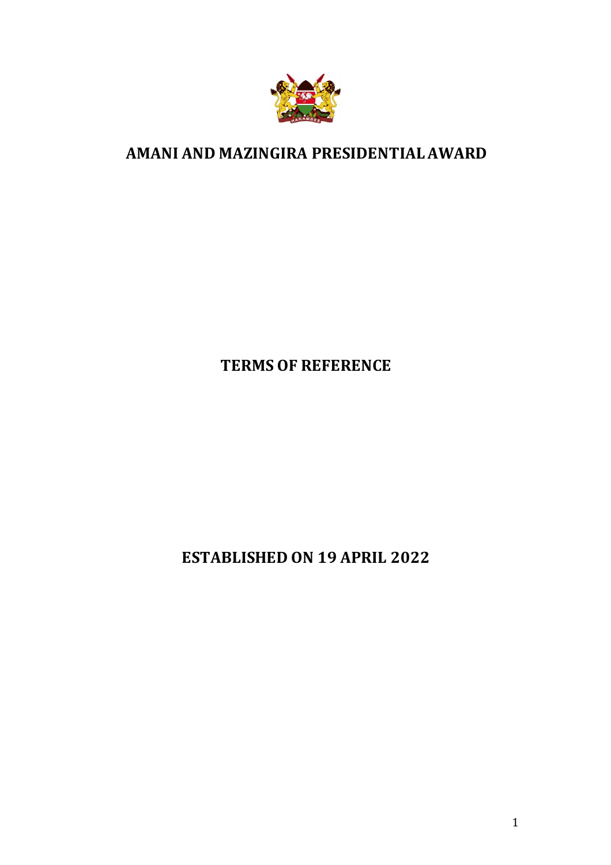

## **AMANI AND MAZINGIRA PRESIDENTIAL AWARD**

# **TERMS OF REFERENCE**

**ESTABLISHED ON 19 APRIL 2022**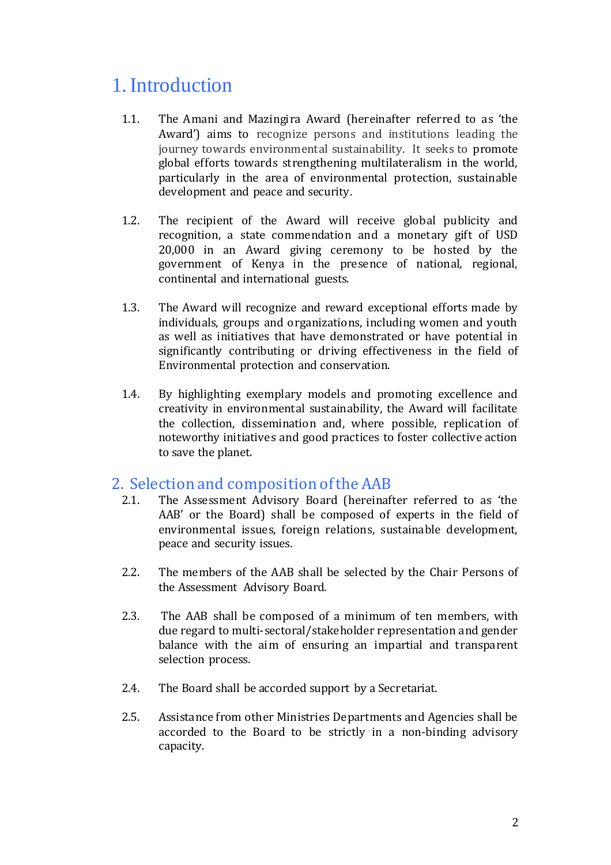# 1.Introduction

- 1.1. The Amani and Mazingira Award (hereinafter referred to as 'the Award') aims to recognize persons and institutions leading the journey towards environmental sustainability. It seeks to promote global efforts towards strengthening multilateralism in the world, particularly in the area of environmental protection, sustainable development and peace and security.
- 1.2. The recipient of the Award will receive global publicity and recognition, a state commendation and a monetary gift of USD 20,000 in an Award giving ceremony to be hosted by the government of Kenya in the presence of national, regional, continental and international guests.
- 1.3. The Award will recognize and reward exceptional efforts made by individuals, groups and organizations, including women and youth as well as initiatives that have demonstrated or have potential in significantly contributing or driving effectiveness in the field of Environmental protection and conservation.
- 1.4. By highlighting exemplary models and promoting excellence and creativity in environmental sustainability, the Award will facilitate the collection, dissemination and, where possible, replication of noteworthy initiatives and good practices to foster collective action to save the planet.

## 2. Selection and composition of the AAB

- 2.1. The Assessment Advisory Board (hereinafter referred to as 'the AAB' or the Board) shall be composed of experts in the field of environmental issues, foreign relations, sustainable development, peace and security issues.
- 2.2. The members of the AAB shall be selected by the Chair Persons of the Assessment Advisory Board.
- 2.3. The AAB shall be composed of a minimum of ten members, with due regard to multi-sectoral/stakeholder representation and gender balance with the aim of ensuring an impartial and transparent selection process.
- 2.4. The Board shall be accorded support by a Secretariat.
- 2.5. Assistance from other Ministries Departments and Agencies shall be accorded to the Board to be strictly in a non-binding advisory capacity.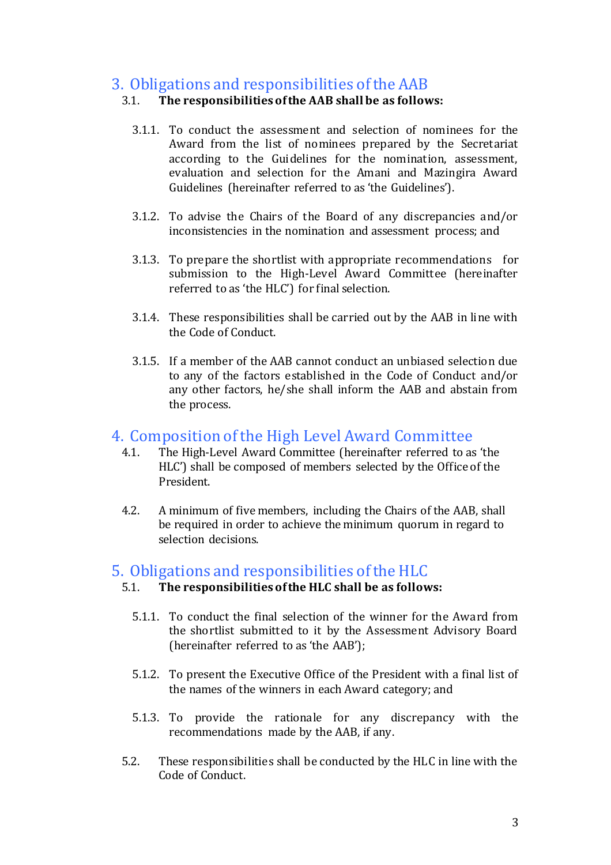## 3. Obligations and responsibilities of the AAB

#### 3.1. **The responsibilities of the AAB shall be as follows:**

- 3.1.1. To conduct the assessment and selection of nominees for the Award from the list of nominees prepared by the Secretariat according to the Guidelines for the nomination, assessment, evaluation and selection for the Amani and Mazingira Award Guidelines (hereinafter referred to as 'the Guidelines').
- 3.1.2. To advise the Chairs of the Board of any discrepancies and/or inconsistencies in the nomination and assessment process; and
- 3.1.3. To prepare the shortlist with appropriate recommendations for submission to the High-Level Award Committee (hereinafter referred to as 'the HLC') for final selection.
- 3.1.4. These responsibilities shall be carried out by the AAB in line with the Code of Conduct.
- 3.1.5. If a member of the AAB cannot conduct an unbiased selection due to any of the factors established in the Code of Conduct and/or any other factors, he/she shall inform the AAB and abstain from the process.

#### 4. Composition of the High Level Award Committee

- 4.1. The High-Level Award Committee (hereinafter referred to as 'the HLC') shall be composed of members selected by the Office of the President.
- 4.2. A minimum of five members, including the Chairs of the AAB, shall be required in order to achieve the minimum quorum in regard to selection decisions.

## 5. Obligations and responsibilities of the HLC

#### 5.1. **The responsibilities of the HLC shall be as follows:**

- 5.1.1. To conduct the final selection of the winner for the Award from the shortlist submitted to it by the Assessment Advisory Board (hereinafter referred to as 'the AAB');
- 5.1.2. To present the Executive Office of the President with a final list of the names of the winners in each Award category; and
- 5.1.3. To provide the rationale for any discrepancy with the recommendations made by the AAB, if any.
- 5.2. These responsibilities shall be conducted by the HLC in line with the Code of Conduct.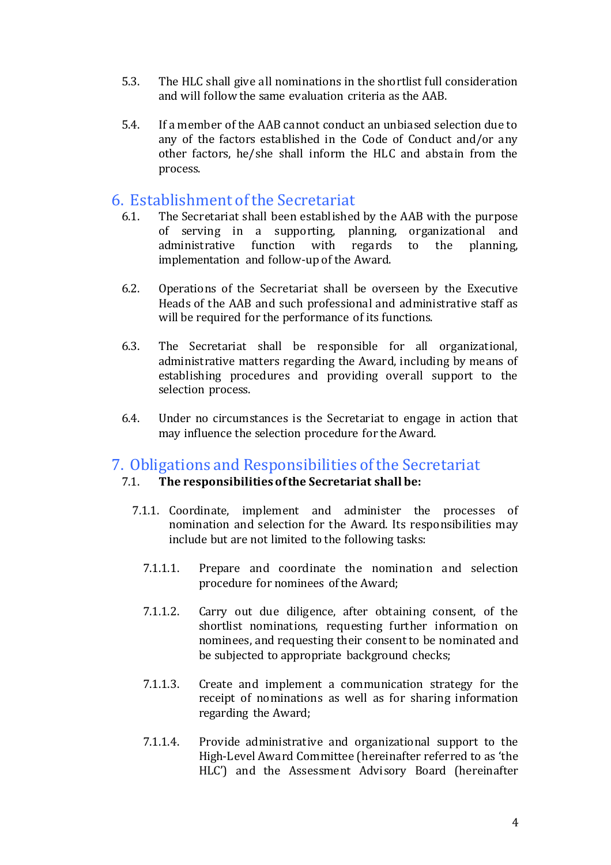- 5.3. The HLC shall give all nominations in the shortlist full consideration and will follow the same evaluation criteria as the AAB.
- 5.4. If a member of the AAB cannot conduct an unbiased selection due to any of the factors established in the Code of Conduct and/or any other factors, he/she shall inform the HLC and abstain from the process.

### 6. Establishment of the Secretariat

- 6.1. The Secretariat shall been established by the AAB with the purpose of serving in a supporting, planning, organizational and administrative function with regards to the planning, implementation and follow-up of the Award.
- 6.2. Operations of the Secretariat shall be overseen by the Executive Heads of the AAB and such professional and administrative staff as will be required for the performance of its functions.
- 6.3. The Secretariat shall be responsible for all organizational, administrative matters regarding the Award, including by means of establishing procedures and providing overall support to the selection process.
- 6.4. Under no circumstances is the Secretariat to engage in action that may influence the selection procedure for the Award.

#### 7. Obligations and Responsibilities of the Secretariat

#### 7.1. **The responsibilities of the Secretariat shall be:**

- 7.1.1. Coordinate, implement and administer the processes of nomination and selection for the Award. Its responsibilities may include but are not limited to the following tasks:
	- 7.1.1.1. Prepare and coordinate the nomination and selection procedure for nominees of the Award;
	- 7.1.1.2. Carry out due diligence, after obtaining consent, of the shortlist nominations, requesting further information on nominees, and requesting their consent to be nominated and be subjected to appropriate background checks;
	- 7.1.1.3. Create and implement a communication strategy for the receipt of nominations as well as for sharing information regarding the Award;
	- 7.1.1.4. Provide administrative and organizational support to the High-Level Award Committee (hereinafter referred to as 'the HLC') and the Assessment Advisory Board (hereinafter